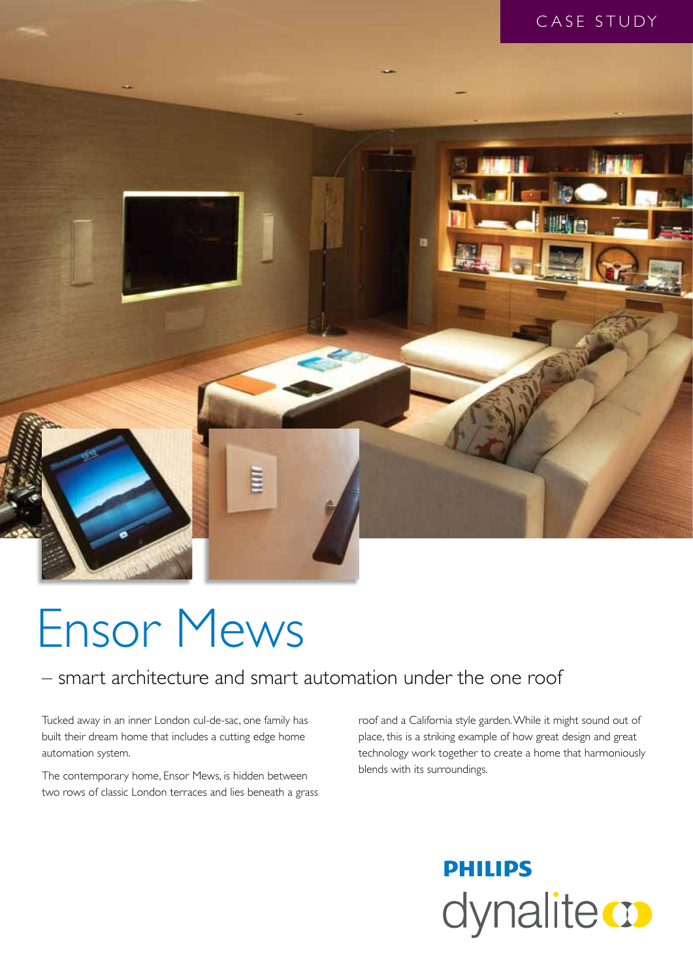



# Ensor Mews

### – smart architecture and smart automation under the one roof

Tucked away in an inner London cul-de-sac, one family has built their dream home that includes a cutting edge home automation system.

The contemporary home, Ensor Mews, is hidden between two rows of classic London terraces and lies beneath a grass

roof and a California style garden. While it might sound out of place, this is a striking example of how great design and great technology work together to create a home that harmoniously blends with its surroundings.

## **PHILIPS** dynalite **o**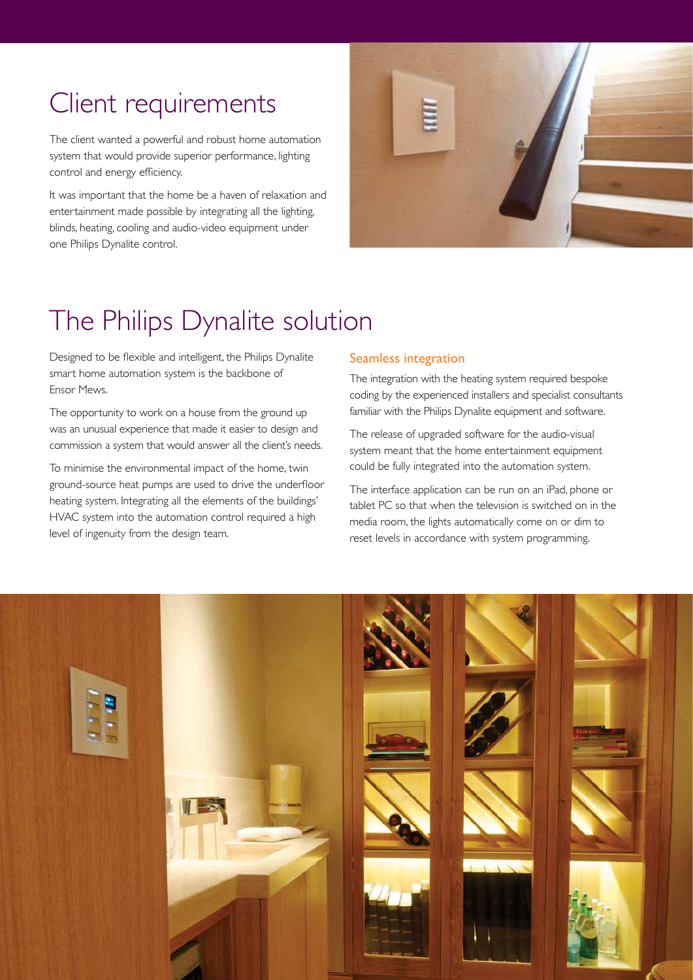### Client requirements

The client wanted a powerful and robust home automation system that would provide superior performance, lighting control and energy efficiency.

It was important that the home be a haven of relaxation and entertainment made possible by integrating all the lighting, blinds, heating, cooling and audio-video equipment under one Philips Dynalite control.



### The Philips Dynalite solution

Designed to be flexible and intelligent, the Philips Dynalite smart home automation system is the backbone of Ensor Mews.

The opportunity to work on a house from the ground up was an unusual experience that made it easier to design and commission a system that would answer all the client's needs.

To minimise the environmental impact of the home, twin ground-source heat pumps are used to drive the underfloor heating system. Integrating all the elements of the buildings' HVAC system into the automation control required a high level of ingenuity from the design team.

#### Seamless integration

The integration with the heating system required bespoke coding by the experienced installers and specialist consultants familiar with the Philips Dynalite equipment and software.

The release of upgraded software for the audio-visual system meant that the home entertainment equipment could be fully integrated into the automation system.

The interface application can be run on an iPad, phone or tablet PC so that when the television is switched on in the media room, the lights automatically come on or dim to reset levels in accordance with system programming.

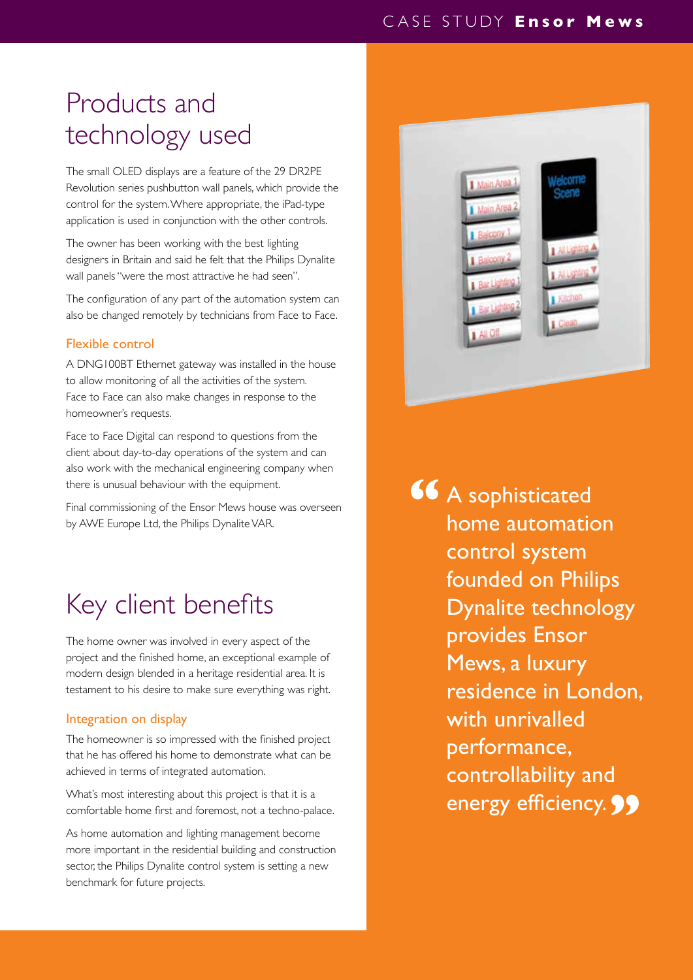#### CASE STUDY **Ensor Mews**

### Products and technology used

The small OLED displays are a feature of the 29 DR2PE Revolution series pushbutton wall panels, which provide the control for the system. Where appropriate, the iPad-type application is used in conjunction with the other controls.

The owner has been working with the best lighting designers in Britain and said he felt that the Philips Dynalite wall panels "were the most attractive he had seen".

The configuration of any part of the automation system can also be changed remotely by technicians from Face to Face.

#### Flexible control

A DNG100BT Ethernet gateway was installed in the house to allow monitoring of all the activities of the system. Face to Face can also make changes in response to the homeowner's requests.

Face to Face Digital can respond to questions from the client about day-to-day operations of the system and can also work with the mechanical engineering company when there is unusual behaviour with the equipment.

Final commissioning of the Ensor Mews house was overseen by AWE Europe Ltd, the Philips Dynalite VAR.

### Key client benefits

The home owner was involved in every aspect of the project and the finished home, an exceptional example of modern design blended in a heritage residential area. It is testament to his desire to make sure everything was right.

#### Integration on display

The homeowner is so impressed with the finished project that he has offered his home to demonstrate what can be achieved in terms of integrated automation.

What's most interesting about this project is that it is a comfortable home first and foremost, not a techno-palace.

As home automation and lighting management become more important in the residential building and construction sector, the Philips Dynalite control system is setting a new benchmark for future projects.



A sophisticated home automation control system founded on Philips Dynalite technology provides Ensor Mews, a luxury residence in London, with unrivalled performance, controllability and energy efficiency. **99 "**